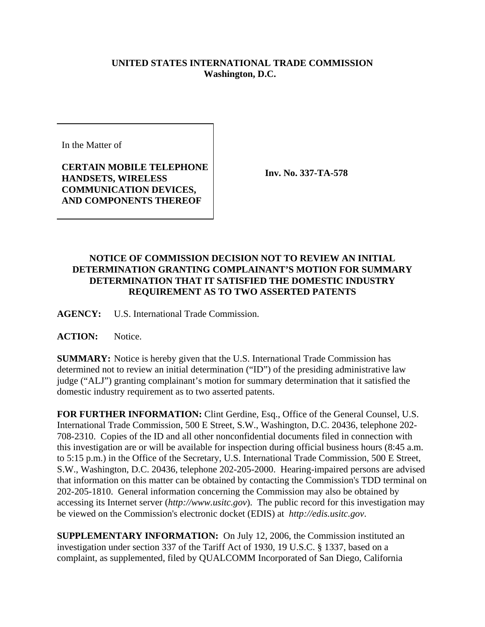## **UNITED STATES INTERNATIONAL TRADE COMMISSION Washington, D.C.**

In the Matter of

**CERTAIN MOBILE TELEPHONE HANDSETS, WIRELESS COMMUNICATION DEVICES, AND COMPONENTS THEREOF**

**Inv. No. 337-TA-578**

## **NOTICE OF COMMISSION DECISION NOT TO REVIEW AN INITIAL DETERMINATION GRANTING COMPLAINANT'S MOTION FOR SUMMARY DETERMINATION THAT IT SATISFIED THE DOMESTIC INDUSTRY REQUIREMENT AS TO TWO ASSERTED PATENTS**

**AGENCY:** U.S. International Trade Commission.

ACTION: Notice.

**SUMMARY:** Notice is hereby given that the U.S. International Trade Commission has determined not to review an initial determination ("ID") of the presiding administrative law judge ("ALJ") granting complainant's motion for summary determination that it satisfied the domestic industry requirement as to two asserted patents.

**FOR FURTHER INFORMATION:** Clint Gerdine, Esq., Office of the General Counsel, U.S. International Trade Commission, 500 E Street, S.W., Washington, D.C. 20436, telephone 202- 708-2310. Copies of the ID and all other nonconfidential documents filed in connection with this investigation are or will be available for inspection during official business hours (8:45 a.m. to 5:15 p.m.) in the Office of the Secretary, U.S. International Trade Commission, 500 E Street, S.W., Washington, D.C. 20436, telephone 202-205-2000. Hearing-impaired persons are advised that information on this matter can be obtained by contacting the Commission's TDD terminal on 202-205-1810. General information concerning the Commission may also be obtained by accessing its Internet server (*http://www.usitc.gov*). The public record for this investigation may be viewed on the Commission's electronic docket (EDIS) at *http://edis.usitc.gov*.

**SUPPLEMENTARY INFORMATION:** On July 12, 2006, the Commission instituted an investigation under section 337 of the Tariff Act of 1930, 19 U.S.C. § 1337, based on a complaint, as supplemented, filed by QUALCOMM Incorporated of San Diego, California